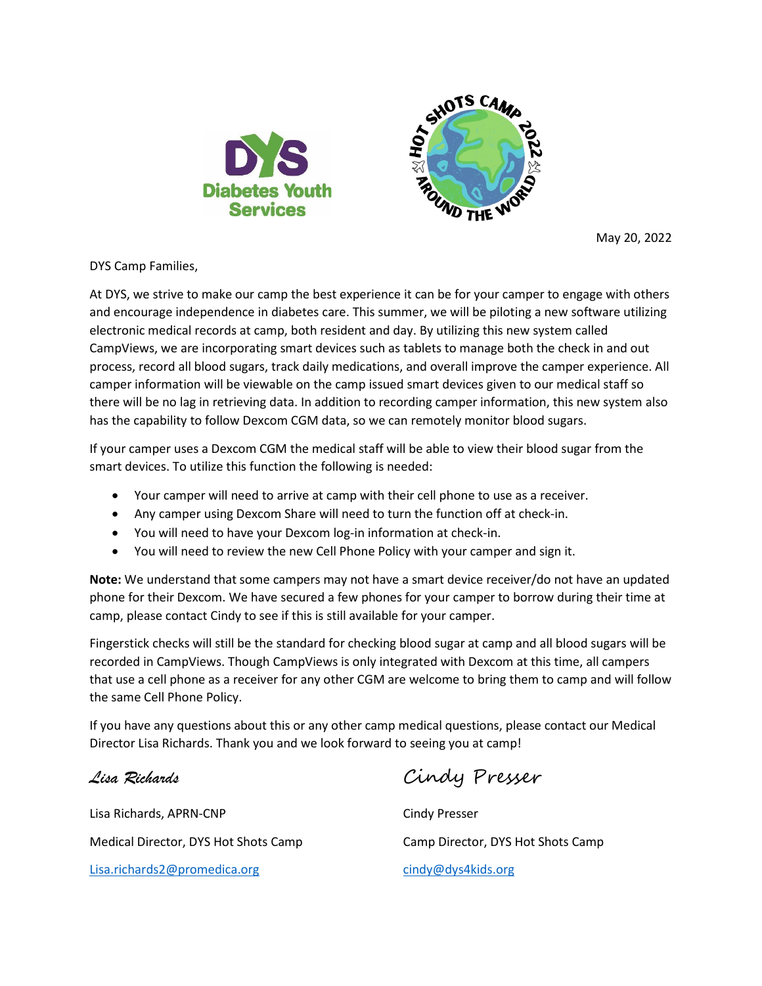

May 20, 2022

DYS Camp Families,

At DYS, we strive to make our camp the best experience it can be for your camper to engage with others and encourage independence in diabetes care. This summer, we will be piloting a new software utilizing electronic medical records at camp, both resident and day. By utilizing this new system called CampViews, we are incorporating smart devices such as tablets to manage both the check in and out process, record all blood sugars, track daily medications, and overall improve the camper experience. All camper information will be viewable on the camp issued smart devices given to our medical staff so there will be no lag in retrieving data. In addition to recording camper information, this new system also has the capability to follow Dexcom CGM data, so we can remotely monitor blood sugars.

If your camper uses a Dexcom CGM the medical staff will be able to view their blood sugar from the smart devices. To utilize this function the following is needed:

- Your camper will need to arrive at camp with their cell phone to use as a receiver.
- Any camper using Dexcom Share will need to turn the function off at check-in.
- You will need to have your Dexcom log-in information at check-in.
- You will need to review the new Cell Phone Policy with your camper and sign it.

**Note:** We understand that some campers may not have a smart device receiver/do not have an updated phone for their Dexcom. We have secured a few phones for your camper to borrow during their time at camp, please contact Cindy to see if this is still available for your camper.

Fingerstick checks will still be the standard for checking blood sugar at camp and all blood sugars will be recorded in CampViews. Though CampViews is only integrated with Dexcom at this time, all campers that use a cell phone as a receiver for any other CGM are welcome to bring them to camp and will follow the same Cell Phone Policy.

If you have any questions about this or any other camp medical questions, please contact our Medical Director Lisa Richards. Thank you and we look forward to seeing you at camp!

Lisa Richards, APRN-CNP Cindy Presser Medical Director, DYS Hot Shots Camp Camp Director, DYS Hot Shots Camp [Lisa.richards2@promedica.org](mailto:Lisa.richards2@promedica.org) [cindy@dys4kids.org](mailto:cindy@dys4kids.org)

*Lisa Richards* Cindy Presser